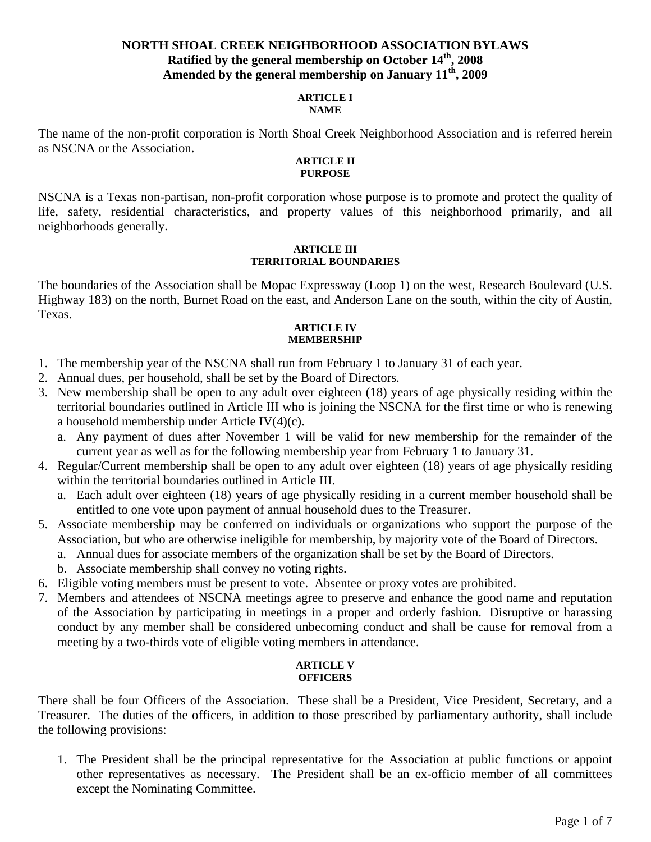# **NORTH SHOAL CREEK NEIGHBORHOOD ASSOCIATION BYLAWS Ratified by the general membership on October 14th, 2008**  Amended by the general membership on January  $11^{th}$ , 2009

#### **ARTICLE I NAME**

The name of the non-profit corporation is North Shoal Creek Neighborhood Association and is referred herein as NSCNA or the Association.

#### **ARTICLE II PURPOSE**

NSCNA is a Texas non-partisan, non-profit corporation whose purpose is to promote and protect the quality of life, safety, residential characteristics, and property values of this neighborhood primarily, and all neighborhoods generally.

### **ARTICLE III TERRITORIAL BOUNDARIES**

The boundaries of the Association shall be Mopac Expressway (Loop 1) on the west, Research Boulevard (U.S. Highway 183) on the north, Burnet Road on the east, and Anderson Lane on the south, within the city of Austin, Texas.

### **ARTICLE IV MEMBERSHIP**

- 1. The membership year of the NSCNA shall run from February 1 to January 31 of each year.
- 2. Annual dues, per household, shall be set by the Board of Directors.
- 3. New membership shall be open to any adult over eighteen (18) years of age physically residing within the territorial boundaries outlined in Article III who is joining the NSCNA for the first time or who is renewing a household membership under Article IV(4)(c).
	- a. Any payment of dues after November 1 will be valid for new membership for the remainder of the current year as well as for the following membership year from February 1 to January 31.
- 4. Regular/Current membership shall be open to any adult over eighteen (18) years of age physically residing within the territorial boundaries outlined in Article III.
	- a. Each adult over eighteen (18) years of age physically residing in a current member household shall be entitled to one vote upon payment of annual household dues to the Treasurer.
- 5. Associate membership may be conferred on individuals or organizations who support the purpose of the Association, but who are otherwise ineligible for membership, by majority vote of the Board of Directors.
	- a. Annual dues for associate members of the organization shall be set by the Board of Directors.
	- b. Associate membership shall convey no voting rights.
- 6. Eligible voting members must be present to vote. Absentee or proxy votes are prohibited.
- 7. Members and attendees of NSCNA meetings agree to preserve and enhance the good name and reputation of the Association by participating in meetings in a proper and orderly fashion. Disruptive or harassing conduct by any member shall be considered unbecoming conduct and shall be cause for removal from a meeting by a two-thirds vote of eligible voting members in attendance.

### **ARTICLE V OFFICERS**

There shall be four Officers of the Association. These shall be a President, Vice President, Secretary, and a Treasurer. The duties of the officers, in addition to those prescribed by parliamentary authority, shall include the following provisions:

1. The President shall be the principal representative for the Association at public functions or appoint other representatives as necessary. The President shall be an ex-officio member of all committees except the Nominating Committee.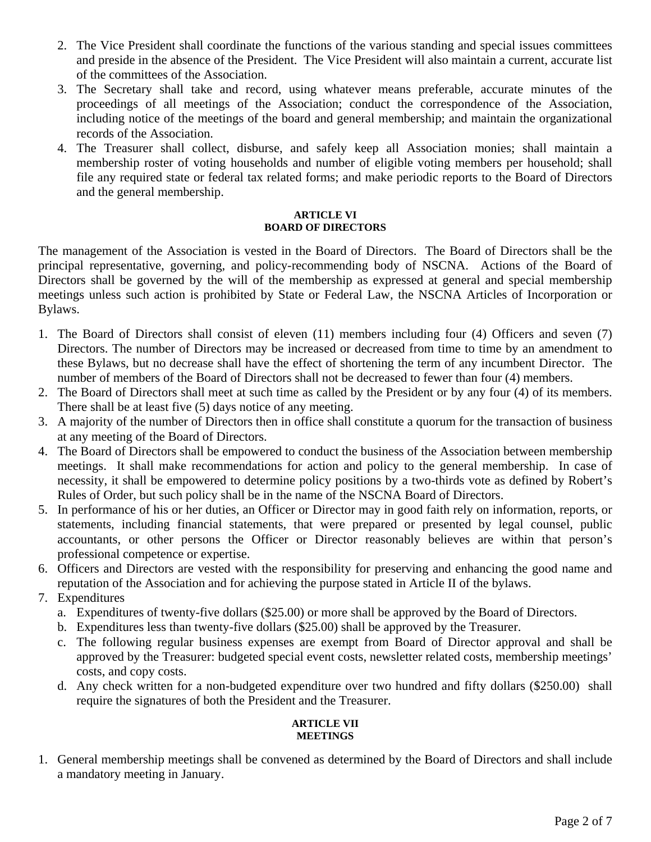- 2. The Vice President shall coordinate the functions of the various standing and special issues committees and preside in the absence of the President. The Vice President will also maintain a current, accurate list of the committees of the Association.
- 3. The Secretary shall take and record, using whatever means preferable, accurate minutes of the proceedings of all meetings of the Association; conduct the correspondence of the Association, including notice of the meetings of the board and general membership; and maintain the organizational records of the Association.
- 4. The Treasurer shall collect, disburse, and safely keep all Association monies; shall maintain a membership roster of voting households and number of eligible voting members per household; shall file any required state or federal tax related forms; and make periodic reports to the Board of Directors and the general membership.

# **ARTICLE VI BOARD OF DIRECTORS**

The management of the Association is vested in the Board of Directors. The Board of Directors shall be the principal representative, governing, and policy-recommending body of NSCNA. Actions of the Board of Directors shall be governed by the will of the membership as expressed at general and special membership meetings unless such action is prohibited by State or Federal Law, the NSCNA Articles of Incorporation or Bylaws.

- 1. The Board of Directors shall consist of eleven (11) members including four (4) Officers and seven (7) Directors. The number of Directors may be increased or decreased from time to time by an amendment to these Bylaws, but no decrease shall have the effect of shortening the term of any incumbent Director. The number of members of the Board of Directors shall not be decreased to fewer than four (4) members.
- 2. The Board of Directors shall meet at such time as called by the President or by any four (4) of its members. There shall be at least five (5) days notice of any meeting.
- 3. A majority of the number of Directors then in office shall constitute a quorum for the transaction of business at any meeting of the Board of Directors.
- 4. The Board of Directors shall be empowered to conduct the business of the Association between membership meetings. It shall make recommendations for action and policy to the general membership. In case of necessity, it shall be empowered to determine policy positions by a two-thirds vote as defined by Robert's Rules of Order, but such policy shall be in the name of the NSCNA Board of Directors.
- 5. In performance of his or her duties, an Officer or Director may in good faith rely on information, reports, or statements, including financial statements, that were prepared or presented by legal counsel, public accountants, or other persons the Officer or Director reasonably believes are within that person's professional competence or expertise.
- 6. Officers and Directors are vested with the responsibility for preserving and enhancing the good name and reputation of the Association and for achieving the purpose stated in Article II of the bylaws.
- 7. Expenditures
	- a. Expenditures of twenty-five dollars (\$25.00) or more shall be approved by the Board of Directors.
	- b. Expenditures less than twenty-five dollars (\$25.00) shall be approved by the Treasurer.
	- c. The following regular business expenses are exempt from Board of Director approval and shall be approved by the Treasurer: budgeted special event costs, newsletter related costs, membership meetings' costs, and copy costs.
	- d. Any check written for a non-budgeted expenditure over two hundred and fifty dollars (\$250.00) shall require the signatures of both the President and the Treasurer.

# **ARTICLE VII MEETINGS**

1. General membership meetings shall be convened as determined by the Board of Directors and shall include a mandatory meeting in January.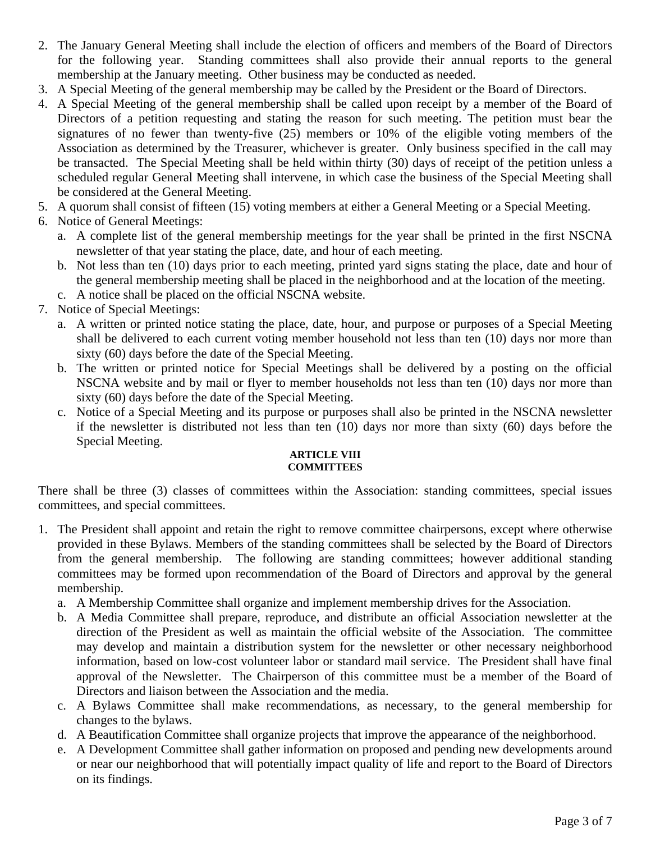- 2. The January General Meeting shall include the election of officers and members of the Board of Directors for the following year. Standing committees shall also provide their annual reports to the general membership at the January meeting. Other business may be conducted as needed.
- 3. A Special Meeting of the general membership may be called by the President or the Board of Directors.
- 4. A Special Meeting of the general membership shall be called upon receipt by a member of the Board of Directors of a petition requesting and stating the reason for such meeting. The petition must bear the signatures of no fewer than twenty-five (25) members or 10% of the eligible voting members of the Association as determined by the Treasurer, whichever is greater. Only business specified in the call may be transacted. The Special Meeting shall be held within thirty (30) days of receipt of the petition unless a scheduled regular General Meeting shall intervene, in which case the business of the Special Meeting shall be considered at the General Meeting.
- 5. A quorum shall consist of fifteen (15) voting members at either a General Meeting or a Special Meeting.
- 6. Notice of General Meetings:
	- a. A complete list of the general membership meetings for the year shall be printed in the first NSCNA newsletter of that year stating the place, date, and hour of each meeting.
	- b. Not less than ten (10) days prior to each meeting, printed yard signs stating the place, date and hour of the general membership meeting shall be placed in the neighborhood and at the location of the meeting.
	- c. A notice shall be placed on the official NSCNA website.
- 7. Notice of Special Meetings:
	- a. A written or printed notice stating the place, date, hour, and purpose or purposes of a Special Meeting shall be delivered to each current voting member household not less than ten (10) days nor more than sixty (60) days before the date of the Special Meeting.
	- b. The written or printed notice for Special Meetings shall be delivered by a posting on the official NSCNA website and by mail or flyer to member households not less than ten (10) days nor more than sixty (60) days before the date of the Special Meeting.
	- c. Notice of a Special Meeting and its purpose or purposes shall also be printed in the NSCNA newsletter if the newsletter is distributed not less than ten (10) days nor more than sixty (60) days before the Special Meeting.

## **ARTICLE VIII COMMITTEES**

There shall be three (3) classes of committees within the Association: standing committees, special issues committees, and special committees.

- 1. The President shall appoint and retain the right to remove committee chairpersons, except where otherwise provided in these Bylaws. Members of the standing committees shall be selected by the Board of Directors from the general membership. The following are standing committees; however additional standing committees may be formed upon recommendation of the Board of Directors and approval by the general membership.
	- a. A Membership Committee shall organize and implement membership drives for the Association.
	- b. A Media Committee shall prepare, reproduce, and distribute an official Association newsletter at the direction of the President as well as maintain the official website of the Association. The committee may develop and maintain a distribution system for the newsletter or other necessary neighborhood information, based on low-cost volunteer labor or standard mail service. The President shall have final approval of the Newsletter. The Chairperson of this committee must be a member of the Board of Directors and liaison between the Association and the media.
	- c. A Bylaws Committee shall make recommendations, as necessary, to the general membership for changes to the bylaws.
	- d. A Beautification Committee shall organize projects that improve the appearance of the neighborhood.
	- e. A Development Committee shall gather information on proposed and pending new developments around or near our neighborhood that will potentially impact quality of life and report to the Board of Directors on its findings.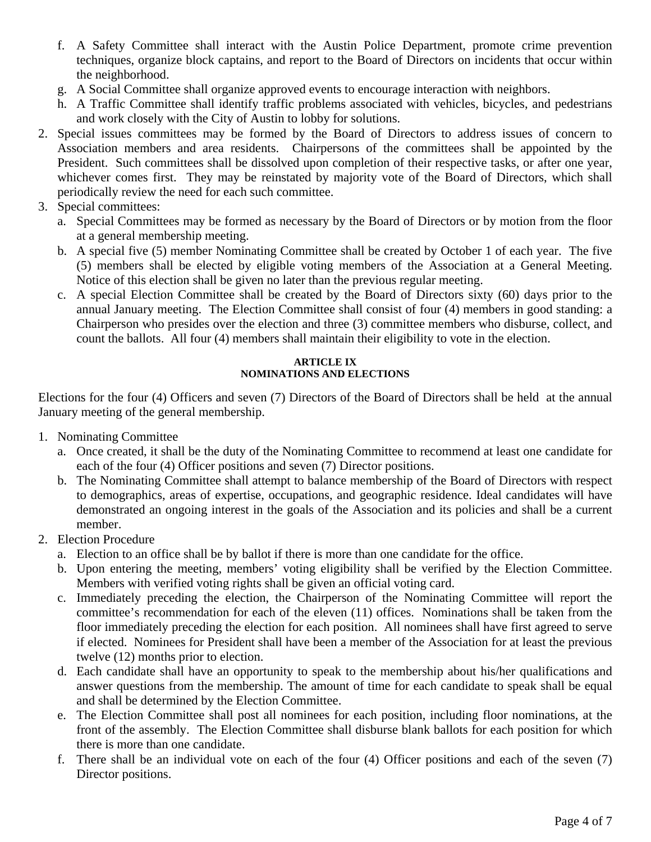- f. A Safety Committee shall interact with the Austin Police Department, promote crime prevention techniques, organize block captains, and report to the Board of Directors on incidents that occur within the neighborhood.
- g. A Social Committee shall organize approved events to encourage interaction with neighbors.
- h. A Traffic Committee shall identify traffic problems associated with vehicles, bicycles, and pedestrians and work closely with the City of Austin to lobby for solutions.
- 2. Special issues committees may be formed by the Board of Directors to address issues of concern to Association members and area residents. Chairpersons of the committees shall be appointed by the President. Such committees shall be dissolved upon completion of their respective tasks, or after one year, whichever comes first. They may be reinstated by majority vote of the Board of Directors, which shall periodically review the need for each such committee.
- 3. Special committees:
	- a. Special Committees may be formed as necessary by the Board of Directors or by motion from the floor at a general membership meeting.
	- b. A special five (5) member Nominating Committee shall be created by October 1 of each year. The five (5) members shall be elected by eligible voting members of the Association at a General Meeting. Notice of this election shall be given no later than the previous regular meeting.
	- c. A special Election Committee shall be created by the Board of Directors sixty (60) days prior to the annual January meeting. The Election Committee shall consist of four (4) members in good standing: a Chairperson who presides over the election and three (3) committee members who disburse, collect, and count the ballots. All four (4) members shall maintain their eligibility to vote in the election.

# **ARTICLE IX NOMINATIONS AND ELECTIONS**

Elections for the four (4) Officers and seven (7) Directors of the Board of Directors shall be held at the annual January meeting of the general membership.

- 1. Nominating Committee
	- a. Once created, it shall be the duty of the Nominating Committee to recommend at least one candidate for each of the four (4) Officer positions and seven (7) Director positions.
	- b. The Nominating Committee shall attempt to balance membership of the Board of Directors with respect to demographics, areas of expertise, occupations, and geographic residence. Ideal candidates will have demonstrated an ongoing interest in the goals of the Association and its policies and shall be a current member.
- 2. Election Procedure
	- a. Election to an office shall be by ballot if there is more than one candidate for the office.
	- b. Upon entering the meeting, members' voting eligibility shall be verified by the Election Committee. Members with verified voting rights shall be given an official voting card.
	- c. Immediately preceding the election, the Chairperson of the Nominating Committee will report the committee's recommendation for each of the eleven (11) offices. Nominations shall be taken from the floor immediately preceding the election for each position. All nominees shall have first agreed to serve if elected. Nominees for President shall have been a member of the Association for at least the previous twelve (12) months prior to election.
	- d. Each candidate shall have an opportunity to speak to the membership about his/her qualifications and answer questions from the membership. The amount of time for each candidate to speak shall be equal and shall be determined by the Election Committee.
	- e. The Election Committee shall post all nominees for each position, including floor nominations, at the front of the assembly. The Election Committee shall disburse blank ballots for each position for which there is more than one candidate.
	- f. There shall be an individual vote on each of the four (4) Officer positions and each of the seven (7) Director positions.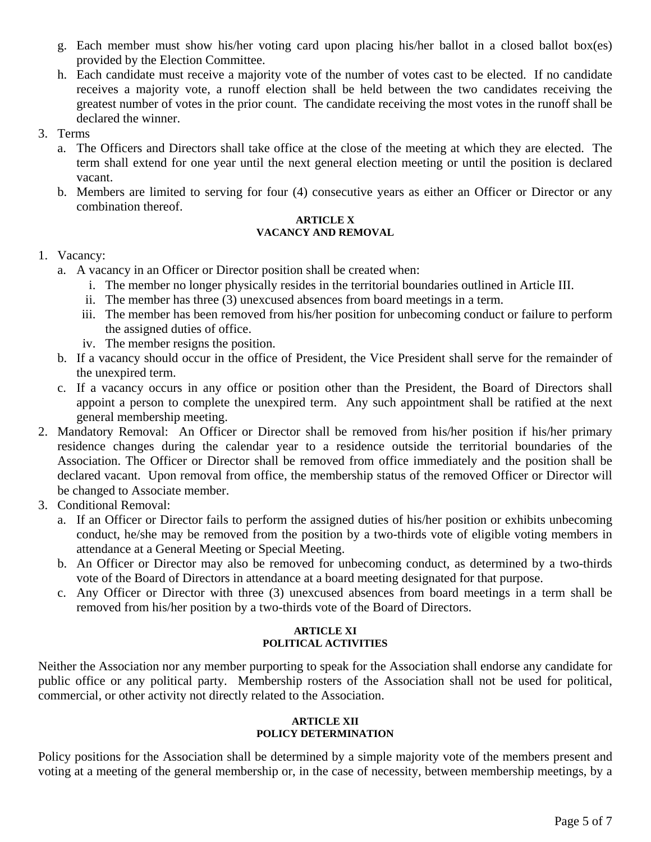- g. Each member must show his/her voting card upon placing his/her ballot in a closed ballot box(es) provided by the Election Committee.
- h. Each candidate must receive a majority vote of the number of votes cast to be elected. If no candidate receives a majority vote, a runoff election shall be held between the two candidates receiving the greatest number of votes in the prior count. The candidate receiving the most votes in the runoff shall be declared the winner.
- 3. Terms
	- a. The Officers and Directors shall take office at the close of the meeting at which they are elected. The term shall extend for one year until the next general election meeting or until the position is declared vacant.
	- b. Members are limited to serving for four (4) consecutive years as either an Officer or Director or any combination thereof.

#### **ARTICLE X VACANCY AND REMOVAL**

# 1. Vacancy:

- a. A vacancy in an Officer or Director position shall be created when:
	- i. The member no longer physically resides in the territorial boundaries outlined in Article III.
	- ii. The member has three (3) unexcused absences from board meetings in a term.
	- iii. The member has been removed from his/her position for unbecoming conduct or failure to perform the assigned duties of office.
	- iv. The member resigns the position.
- b. If a vacancy should occur in the office of President, the Vice President shall serve for the remainder of the unexpired term.
- c. If a vacancy occurs in any office or position other than the President, the Board of Directors shall appoint a person to complete the unexpired term. Any such appointment shall be ratified at the next general membership meeting.
- 2. Mandatory Removal: An Officer or Director shall be removed from his/her position if his/her primary residence changes during the calendar year to a residence outside the territorial boundaries of the Association. The Officer or Director shall be removed from office immediately and the position shall be declared vacant. Upon removal from office, the membership status of the removed Officer or Director will be changed to Associate member.
- 3. Conditional Removal:
	- a. If an Officer or Director fails to perform the assigned duties of his/her position or exhibits unbecoming conduct, he/she may be removed from the position by a two-thirds vote of eligible voting members in attendance at a General Meeting or Special Meeting.
	- b. An Officer or Director may also be removed for unbecoming conduct, as determined by a two-thirds vote of the Board of Directors in attendance at a board meeting designated for that purpose.
	- c. Any Officer or Director with three (3) unexcused absences from board meetings in a term shall be removed from his/her position by a two-thirds vote of the Board of Directors.

## **ARTICLE XI POLITICAL ACTIVITIES**

Neither the Association nor any member purporting to speak for the Association shall endorse any candidate for public office or any political party. Membership rosters of the Association shall not be used for political, commercial, or other activity not directly related to the Association.

## **ARTICLE XII POLICY DETERMINATION**

Policy positions for the Association shall be determined by a simple majority vote of the members present and voting at a meeting of the general membership or, in the case of necessity, between membership meetings, by a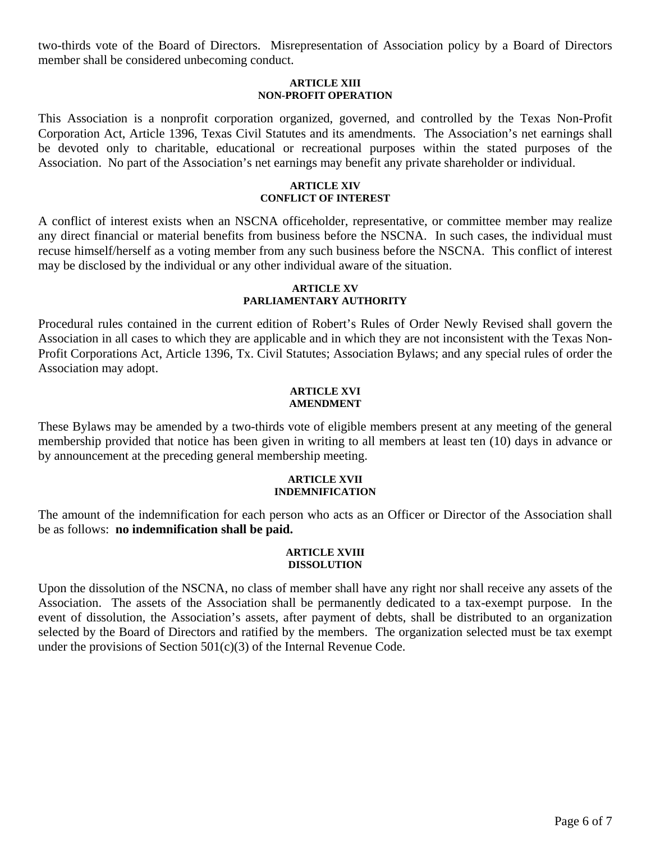two-thirds vote of the Board of Directors. Misrepresentation of Association policy by a Board of Directors member shall be considered unbecoming conduct.

#### **ARTICLE XIII NON-PROFIT OPERATION**

This Association is a nonprofit corporation organized, governed, and controlled by the Texas Non-Profit Corporation Act, Article 1396, Texas Civil Statutes and its amendments. The Association's net earnings shall be devoted only to charitable, educational or recreational purposes within the stated purposes of the Association. No part of the Association's net earnings may benefit any private shareholder or individual.

### **ARTICLE XIV CONFLICT OF INTEREST**

A conflict of interest exists when an NSCNA officeholder, representative, or committee member may realize any direct financial or material benefits from business before the NSCNA. In such cases, the individual must recuse himself/herself as a voting member from any such business before the NSCNA. This conflict of interest may be disclosed by the individual or any other individual aware of the situation.

### **ARTICLE XV PARLIAMENTARY AUTHORITY**

Procedural rules contained in the current edition of Robert's Rules of Order Newly Revised shall govern the Association in all cases to which they are applicable and in which they are not inconsistent with the Texas Non-Profit Corporations Act, Article 1396, Tx. Civil Statutes; Association Bylaws; and any special rules of order the Association may adopt.

### **ARTICLE XVI AMENDMENT**

These Bylaws may be amended by a two-thirds vote of eligible members present at any meeting of the general membership provided that notice has been given in writing to all members at least ten (10) days in advance or by announcement at the preceding general membership meeting.

## **ARTICLE XVII INDEMNIFICATION**

The amount of the indemnification for each person who acts as an Officer or Director of the Association shall be as follows: **no indemnification shall be paid.** 

## **ARTICLE XVIII DISSOLUTION**

Upon the dissolution of the NSCNA, no class of member shall have any right nor shall receive any assets of the Association. The assets of the Association shall be permanently dedicated to a tax-exempt purpose. In the event of dissolution, the Association's assets, after payment of debts, shall be distributed to an organization selected by the Board of Directors and ratified by the members. The organization selected must be tax exempt under the provisions of Section  $501(c)(3)$  of the Internal Revenue Code.